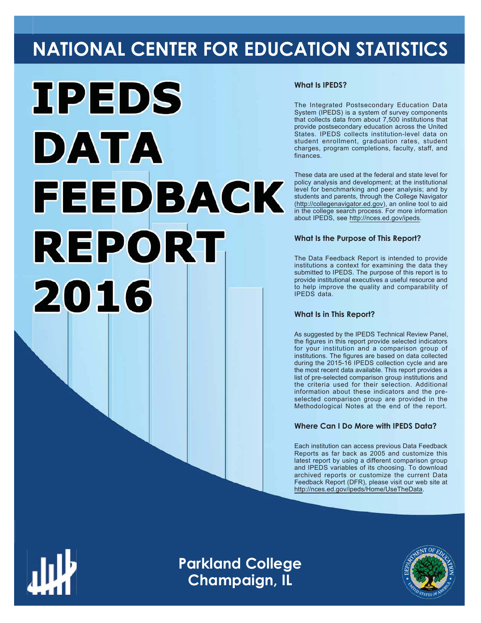# **NATIONAL CENTER FOR EDUCATION STATISTICS**



### **What Is IPEDS?**

The Integrated Postsecondary Education Data System (IPEDS) is a system of survey components that collects data from about 7,500 institutions that provide postsecondary education across the United States. IPEDS collects institution-level data on student enrollment, graduation rates, student charges, program completions, faculty, staff, and finances.

These data are used at the federal and state level for policy analysis and development; at the institutional level for benchmarking and peer analysis; and by students and parents, through the College Navigator (http://collegenavigator.ed.gov), an online tool to aid in the college search process. For more information about IPEDS, see http://nces.ed.gov/ipeds.

### **What Is the Purpose of This Report?**

The Data Feedback Report is intended to provide institutions a context for examining the data they submitted to IPEDS. The purpose of this report is to provide institutional executives a useful resource and to help improve the quality and comparability of  $IPFDS$  data

### **What Is in This Report?**

As suggested by the IPEDS Technical Review Panel, the figures in this report provide selected indicators for your institution and a comparison group of institutions. The figures are based on data collected during the 2015-16 IPEDS collection cycle and are the most recent data available. This report provides a list of pre-selected comparison group institutions and the criteria used for their selection. Additional information about these indicators and the preselected comparison group are provided in the Methodological Notes at the end of the report.

### **Where Can I Do More with IPEDS Data?**

Each institution can access previous Data Feedback Reports as far back as 2005 and customize this latest report by using a different comparison group and IPEDS variables of its choosing. To download archived reports or customize the current Data Feedback Report (DFR), please visit our web site at http://nces.ed.gov/ipeds/Home/UseTheData.



Image description. Cover Image End of image description.

**Parkland College Champaign, IL**

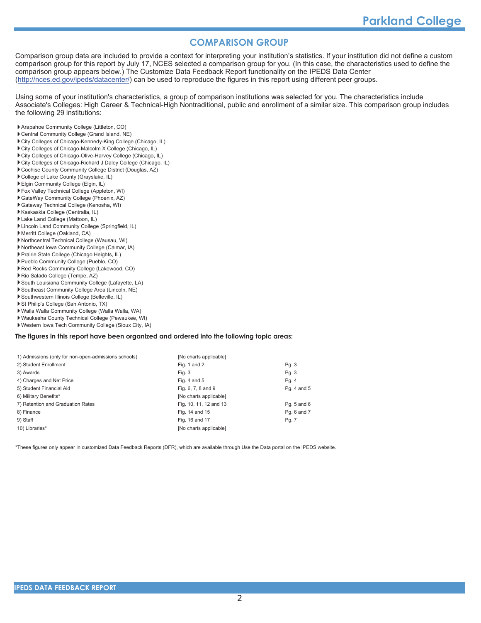### **COMPARISON GROUP**

Comparison group data are included to provide a context for interpreting your institution's statistics. If your institution did not define a custom comparison group for this report by July 17, NCES selected a comparison group for you. (In this case, the characteristics used to define the comparison group appears below.) The Customize Data Feedback Report functionality on the IPEDS Data Center (http://nces.ed.gov/ipeds/datacenter/) can be used to reproduce the figures in this report using different peer groups.

Using some of your institution's characteristics, a group of comparison institutions was selected for you. The characteristics include Associate's Colleges: High Career & Technical-High Nontraditional, public and enrollment of a similar size. This comparison group includes the following 29 institutions:

- Arapahoe Community College (Littleton, CO)
- Central Community College (Grand Island, NE)
- City Colleges of Chicago-Kennedy-King College (Chicago, IL)
- City Colleges of Chicago-Malcolm X College (Chicago, IL)
- City Colleges of Chicago-Olive-Harvey College (Chicago, IL)
- City Colleges of Chicago-Richard J Daley College (Chicago, IL)
- Cochise County Community College District (Douglas, AZ)
- College of Lake County (Grayslake, IL)
- Elgin Community College (Elgin, IL)
- Fox Valley Technical College (Appleton, WI)
- GateWay Community College (Phoenix, AZ)
- Gateway Technical College (Kenosha, WI)
- Kaskaskia College (Centralia, IL)
- Lake Land College (Mattoon, IL) Lincoln Land Community College (Springfield, IL)
- Merritt College (Oakland, CA)
- 
- Northcentral Technical College (Wausau, WI) Northeast Iowa Community College (Calmar, IA)
- Prairie State College (Chicago Heights, IL)
- Pueblo Community College (Pueblo, CO)
- Red Rocks Community College (Lakewood, CO)
- Rio Salado College (Tempe, AZ)
- 
- South Louisiana Community College (Lafayette, LA) Southeast Community College Area (Lincoln, NE)
- Southwestern Illinois College (Belleville, IL)
- St Philip's College (San Antonio, TX)
- 
- Walla Walla Community College (Walla Walla, WA)
- Waukesha County Technical College (Pewaukee, WI)
- Western Iowa Tech Community College (Sioux City, IA)

### The figures in this report have been organized and ordered into the following topic areas:

| 1) Admissions (only for non-open-admissions schools) | [No charts applicable] |             |
|------------------------------------------------------|------------------------|-------------|
| 2) Student Enrollment                                | Fig. 1 and 2           | Pg. 3       |
| 3) Awards                                            | Fig. 3                 | Pg. 3       |
| 4) Charges and Net Price                             | Fig. 4 and $5$         | Pg. 4       |
| 5) Student Financial Aid                             | Fig. 6, 7, 8 and 9     | Pg. 4 and 5 |
| 6) Military Benefits*                                | [No charts applicable] |             |
| 7) Retention and Graduation Rates                    | Fig. 10, 11, 12 and 13 | Pq. 5 and 6 |
| 8) Finance                                           | Fig. 14 and 15         | Pq. 6 and 7 |
| 9) Staff                                             | Fig. 16 and 17         | Pg. 7       |
| 10) Libraries*                                       | [No charts applicable] |             |
|                                                      |                        |             |

\*These figures only appear in customized Data Feedback Reports (DFR), which are available through Use the Data portal on the IPEDS website.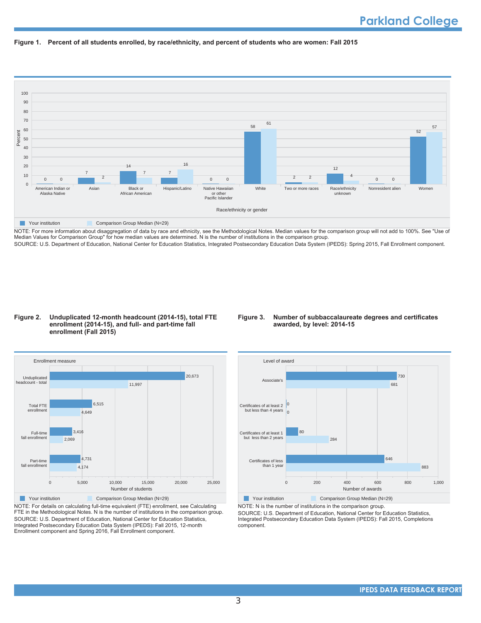



NOTE: For more information about disaggregation of data by race and ethnicity, see the Methodological Notes. Median values for the comparison group will not add to 100%. See "Use of Median Values for Comparison Group" for how median values are determined. N is the number of institutions in the comparison group. SOURCE: U.S. Department of Education, National Center for Education Statistics, Integrated Postsecondary Education Data System (IPEDS): Spring 2015, Fall Enrollment component.

### Figure 2. Unduplicated 12-month headcount (2014-15), total FTE enrollment (2014-15), and full- and part-time fall enrollment (Fall 2015)

### Figure 3. Number of subbaccalaureate degrees and certificates awarded, by level: 2014-15



NOTE: For details on calculating full-time equivalent (FTE) enrollment, see Calculating FTE in the Methodological Notes. N is the number of institutions in the comparison group. SOURCE: U.S. Department of Education, National Center for Education Statistics, Integrated Postsecondary Education Data System (IPEDS): Fall 2015, 12-month Enrollment component and Spring 2016, Fall Enrollment component.



NOTE: N is the number of institutions in the comparison group.

SOURCE: U.S. Department of Education, National Center for Education Statistics, Integrated Postsecondary Education Data System (IPEDS): Fall 2015, Completions component.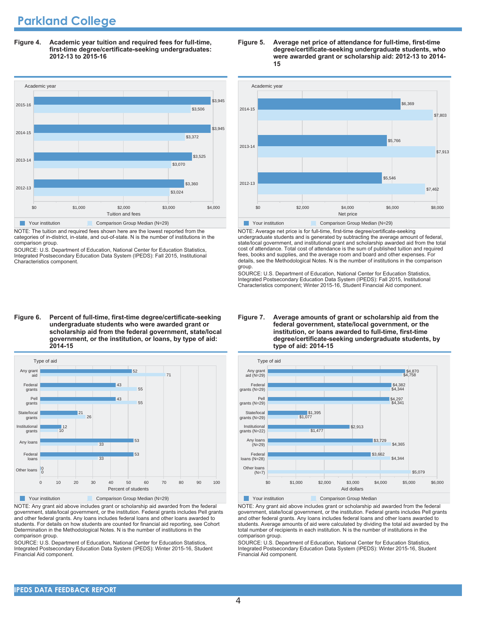# **Parkland College**

Figure 4. Academic year tuition and required fees for full-time, first-time degree/certificate-seeking undergraduates: 2012-13 to 2015-16



NOTE: The tuition and required fees shown here are the lowest reported from the categories of in-district, in-state, and out-of-state. N is the number of institutions in the comparison group.

SOURCE: U.S. Department of Education, National Center for Education Statistics Integrated Postsecondary Education Data System (IPEDS): Fall 2015, Institutional Characteristics component.

#### Figure 5. Average net price of attendance for full-time, first-time degree/certificate-seeking undergraduate students, who were awarded grant or scholarship aid: 2012-13 to 2014-15



NOTE: Average net price is for full-time, first-time degree/certificate-seeking undergraduate students and is generated by subtracting the average amount of federal, state/local government, and institutional grant and scholarship awarded aid from the total cost of attendance. Total cost of attendance is the sum of published tuition and required fees, books and supplies, and the average room and board and other expenses. For details, see the Methodological Notes. N is the number of institutions in the comparison aroup.

SOURCE: U.S. Department of Education, National Center for Education Statistics, Integrated Postsecondary Education Data System (IPEDS): Fall 2015, Institutional Characteristics component; Winter 2015-16, Student Financial Aid component.

#### Figure 6. Percent of full-time, first-time degree/certificate-seeking undergraduate students who were awarded grant or scholarship aid from the federal government, state/local government, or the institution, or loans, by type of aid: 2014-15



NOTE: Any grant aid above includes grant or scholarship aid awarded from the federal government, state/local government, or the institution. Federal grants includes Pell grants and other federal grants. Any loans includes federal loans and other loans awarded to students. For details on how students are counted for financial aid reporting, see Cohort Determination in the Methodological Notes. N is the number of institutions in the comparison group.

SOURCE: U.S. Department of Education, National Center for Education Statistics, Integrated Postsecondary Education Data System (IPEDS): Winter 2015-16, Student Financial Aid component.

#### Figure 7. Average amounts of grant or scholarship aid from the federal government, state/local government, or the institution, or loans awarded to full-time, first-time degree/certificate-seeking undergraduate students, by type of aid: 2014-15



NOTE: Any grant aid above includes grant or scholarship aid awarded from the federal government, state/local government, or the institution. Federal grants includes Pell grants and other federal grants. Any loans includes federal loans and other loans awarded to students. Average amounts of aid were calculated by dividing the total aid awarded by the total number of recipients in each institution. N is the number of institutions in the comparison group.

SOURCE: U.S. Department of Education, National Center for Education Statistics. Integrated Postsecondary Education Data System (IPEDS): Winter 2015-16, Student Financial Aid component.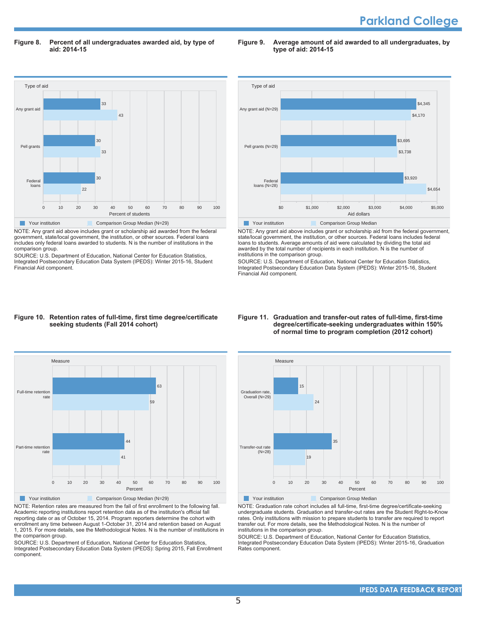Figure 8. Percent of all undergraduates awarded aid, by type of aid: 2014-15

Figure 9. Average amount of aid awarded to all undergraduates, by **type of aid: 2014-15** 



NOTE: Any grant aid above includes grant or scholarship aid awarded from the federal government, state/local government, the institution, or other sources. Federal loans includes only federal loans awarded to students. N is the number of institutions in the comparison group.

SOURCE: U.S. Department of Education, National Center for Education Statistics, Integrated Postsecondary Education Data System (IPEDS): Winter 2015-16, Student Financial Aid component.



NOTE: Any grant aid above includes grant or scholarship aid from the federal government, state/local government, the institution, or other sources. Federal loans includes federal loans to students. Average amounts of aid were calculated by dividing the total aid awarded by the total number of recipients in each institution. N is the number of institutions in the comparison group.

SOURCE: U.S. Department of Education, National Center for Education Statistics, Integrated Postsecondary Education Data System (IPEDS): Winter 2015-16, Student Financial Aid component.

### Figure 10. Retention rates of full-time, first time degree/certificate seeking students (Fall 2014 cohort)



NOTE: Retention rates are measured from the fall of first enrollment to the following fall. Academic reporting institutions report retention data as of the institution's official fall reporting date or as of October 15, 2014. Program reporters determine the cohort with enrollment any time between August 1-October 31, 2014 and retention based on August 1, 2015. For more details, see the Methodological Notes. N is the number of institutions in the comparison group.

SOURCE: U.S. Department of Education, National Center for Education Statistics, Integrated Postsecondary Education Data System (IPEDS): Spring 2015, Fall Enrollment component.

#### Figure 11. Graduation and transfer-out rates of full-time, first-time degree/certificate-seeking undergraduates within 150% of normal time to program completion (2012 cohort)



NOTE: Graduation rate cohort includes all full-time, first-time degree/certificate-seeking undergraduate students. Graduation and transfer-out rates are the Student Right-to-Know rates. Only institutions with mission to prepare students to transfer are required to report transfer out. For more details, see the Methodological Notes. N is the number of institutions in the comparison group.

SOURCE: U.S. Department of Education, National Center for Education Statistics, Integrated Postsecondary Education Data System (IPEDS): Winter 2015-16, Graduation Rates component.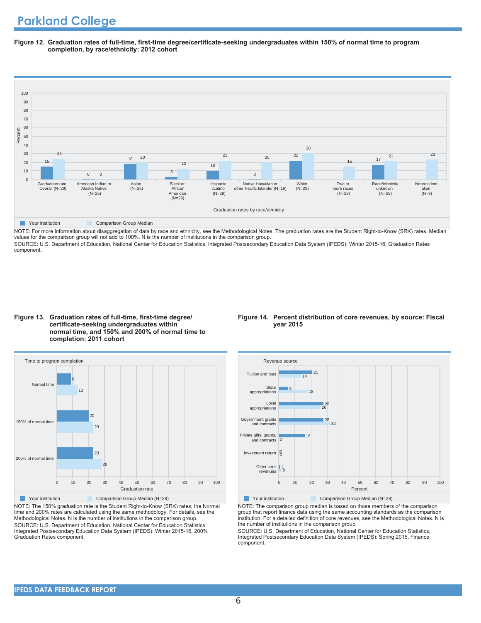Figure 12. Graduation rates of full-time, first-time degree/certificate-seeking undergraduates within 150% of normal time to program completion, by race/ethnicity: 2012 cohort



NOTE: For more information about disaggregation of data by race and ethnicity, see the Methodological Notes. The graduation rates are the Student Right-to-Know (SRK) rates. Median values for the comparison group will not add to 100%. N is the number of institutions in the comparison group.

SOURCE: U.S. Department of Education, National Center for Education Statistics, Integrated Postsecondary Education Data System (IPEDS): Winter 2015-16, Graduation Rates component.





NOTE: The 150% graduation rate is the Student Right-to-Know (SRK) rates; the Normal time and 200% rates are calculated using the same methodology. For details, see the Methodological Notes. N is the number of institutions in the comparison group. SOURCE: U.S. Department of Education, National Center for Education Statistics, Integrated Postsecondary Education Data System (IPEDS): Winter 2015-16, 200% Graduation Rates component.

### Figure 14. Percent distribution of core revenues, by source: Fiscal **year 2015**



Your institution Comparison Group Median (N=29)

NOTE: The comparison group median is based on those members of the comparison group that report finance data using the same accounting standards as the comparison institution. For a detailed definition of core revenues, see the Methodological Notes. N is the number of institutions in the comparison group.

SOURCE: U.S. Department of Education, National Center for Education Statistics, Integrated Postsecondary Education Data System (IPEDS): Spring 2015, Finance component.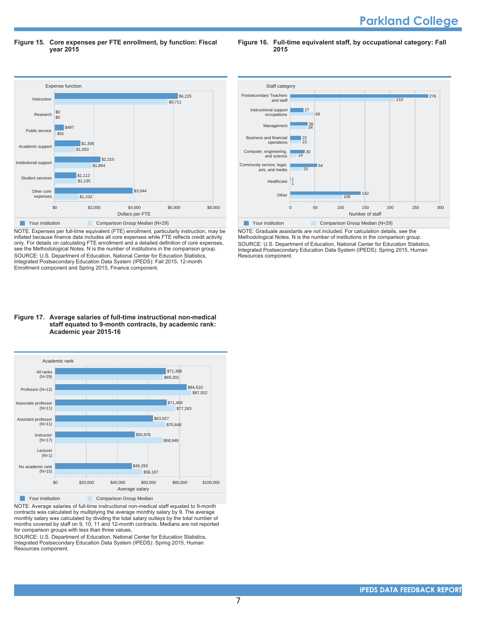Figure 15. Core expenses per FTE enrollment, by function: Fiscal **year 2015** 

Figure 16. Full-time equivalent staff, by occupational category: Fall 2015



NOTE: Expenses per full-time equivalent (FTE) enrollment, particularly instruction, may be inflated because finance data includes all core expenses while FTE reflects credit activity only. For details on calculating FTE enrollment and a detailed definition of core expenses, see the Methodological Notes. N is the number of institutions in the comparison group. SOURCE: U.S. Department of Education, National Center for Education Statistics, Integrated Postsecondary Education Data System (IPEDS): Fall 2015, 12-month Enrollment component and Spring 2015, Finance component.





NOTE: Average salaries of full-time instructional non-medical staff equated to 9-month contracts was calculated by multiplying the average monthly salary by 9. The average monthly salary was calculated by dividing the total salary outlays by the total number of months covered by staff on 9, 10, 11 and 12-month contracts. Medians are not reported INTERT TO THE TYPE THE THE THE TWO STATES TO THE THE THEFT.

SOURCE: U.S. Department of Education, National Center for Education Statistics, Integrated Postsecondary Education Data System (IPEDS): Spring 2015, Human Resources component.



NOTE: Graduate assistants are not included. For calculation details, see the Methodological Notes. N is the number of institutions in the comparison group. SOURCE: U.S. Department of Education, National Center for Education Statistics, Integrated Postsecondary Education Data System (IPEDS): Spring 2015, Human Resources component.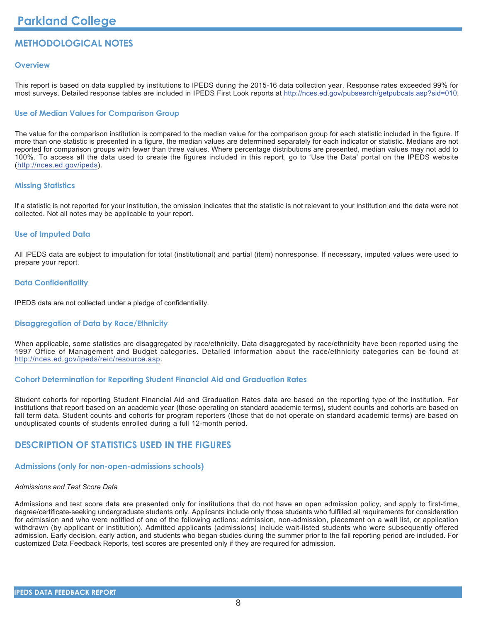### **METHODOLOGICAL NOTES**

### **Overview**

This report is based on data supplied by institutions to IPEDS during the 2015-16 data collection year. Response rates exceeded 99% for most surveys. Detailed response tables are included in IPEDS First Look reports at http://nces.ed.gov/pubsearch/getpubcats.asp?sid=010.

### **Use of Median Values for Comparison Group**

The value for the comparison institution is compared to the median value for the comparison group for each statistic included in the figure. If more than one statistic is presented in a figure, the median values are determined separately for each indicator or statistic. Medians are not reported for comparison groups with fewer than three values. Where percentage distributions are presented, median values may not add to 100%. To access all the data used to create the figures included in this report, go to 'Use the Data' portal on the IPEDS website (http://nces.ed.gov/ipeds).

### **Missing Statistics**

If a statistic is not reported for your institution, the omission indicates that the statistic is not relevant to your institution and the data were not collected. Not all notes may be applicable to your report.

### **Use of Imputed Data**

All IPEDS data are subject to imputation for total (institutional) and partial (item) nonresponse. If necessary, imputed values were used to prepare your report.

### **Data Confidentiality**

IPEDS data are not collected under a pledge of confidentiality.

### **Disaggregation of Data by Race/Ethnicity**

When applicable, some statistics are disaggregated by race/ethnicity. Data disaggregated by race/ethnicity have been reported using the 1997 Office of Management and Budget categories. Detailed information about the race/ethnicity categories can be found at http://nces.ed.gov/ipeds/reic/resource.asp.

### **Cohort Determination for Reporting Student Financial Aid and Graduation Rates**

Student cohorts for reporting Student Financial Aid and Graduation Rates data are based on the reporting type of the institution. For institutions that report based on an academic year (those operating on standard academic terms), student counts and cohorts are based on fall term data. Student counts and cohorts for program reporters (those that do not operate on standard academic terms) are based on unduplicated counts of students enrolled during a full 12-month period.

### **DESCRIPTION OF STATISTICS USED IN THE FIGURES**

### **Admissions (only for non-open-admissions schools)**

### Admissions and Test Score Data

Admissions and test score data are presented only for institutions that do not have an open admission policy, and apply to first-time, degree/certificate-seeking undergraduate students only. Applicants include only those students who fulfilled all requirements for consideration for admission and who were notified of one of the following actions: admission, non-admission, placement on a wait list, or application withdrawn (by applicant or institution). Admitted applicants (admissions) include wait-listed students who were subsequently offered admission. Early decision, early action, and students who began studies during the summer prior to the fall reporting period are included. For customized Data Feedback Reports, test scores are presented only if they are required for admission.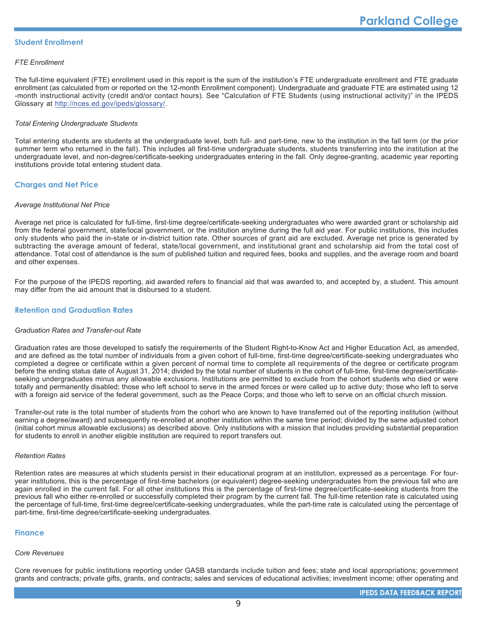### **Student Enrollment**

### **FTE Enrollment**

The full-time equivalent (FTE) enrollment used in this report is the sum of the institution's FTE undergraduate enrollment and FTE graduate enrollment (as calculated from or reported on the 12-month Enrollment component). Undergraduate and graduate FTE are estimated using 12 -month instructional activity (credit and/or contact hours). See "Calculation of FTE Students (using instructional activity)" in the IPEDS Glossary at http://nces.ed.gov/ipeds/glossary/.

### **Total Entering Undergraduate Students**

Total entering students are students at the undergraduate level, both full- and part-time, new to the institution in the fall term (or the prior summer term who returned in the fall). This includes all first-time undergraduate students, students transferring into the institution at the undergraduate level, and non-degree/certificate-seeking undergraduates entering in the fall. Only degree-granting, academic year reporting institutions provide total entering student data.

### **Charges and Net Price**

### **Average Institutional Net Price**

Average net price is calculated for full-time, first-time degree/certificate-seeking undergraduates who were awarded grant or scholarship aid from the federal government, state/local government, or the institution anytime during the full aid year. For public institutions, this includes only students who paid the in-state or in-district tuition rate. Other sources of grant aid are excluded. Average net price is generated by subtracting the average amount of federal, state/local government, and institutional grant and scholarship aid from the total cost of attendance. Total cost of attendance is the sum of published tuition and required fees, books and supplies, and the average room and board and other expenses.

For the purpose of the IPEDS reporting, aid awarded refers to financial aid that was awarded to, and accepted by, a student. This amount may differ from the aid amount that is disbursed to a student.

### **Retention and Graduation Rates**

### **Graduation Rates and Transfer-out Rate**

Graduation rates are those developed to satisfy the requirements of the Student Right-to-Know Act and Higher Education Act, as amended, and are defined as the total number of individuals from a given cohort of full-time, first-time degree/certificate-seeking undergraduates who completed a degree or certificate within a given percent of normal time to complete all requirements of the degree or certificate program before the ending status date of August 31, 2014; divided by the total number of students in the cohort of full-time, first-time degree/certificateseeking undergraduates minus any allowable exclusions. Institutions are permitted to exclude from the cohort students who died or were totally and permanently disabled; those who left school to serve in the armed forces or were called up to active duty; those who left to serve with a foreign aid service of the federal government, such as the Peace Corps; and those who left to serve on an official church mission.

Transfer-out rate is the total number of students from the cohort who are known to have transferred out of the reporting institution (without earning a degree/award) and subsequently re-enrolled at another institution within the same time period; divided by the same adjusted cohort (initial cohort minus allowable exclusions) as described above. Only institutions with a mission that includes providing substantial preparation for students to enroll in another eligible institution are required to report transfers out.

### **Retention Rates**

Retention rates are measures at which students persist in their educational program at an institution, expressed as a percentage. For fouryear institutions, this is the percentage of first-time bachelors (or equivalent) degree-seeking undergraduates from the previous fall who are again enrolled in the current fall. For all other institutions this is the percentage of first-time degree/certificate-seeking students from the previous fall who either re-enrolled or successfully completed their program by the current fall. The full-time retention rate is calculated using the percentage of full-time, first-time degree/certificate-seeking undergraduates, while the part-time rate is calculated using the percentage of part-time, first-time degree/certificate-seeking undergraduates.

### **Finance**

### **Core Revenues**

Core revenues for public institutions reporting under GASB standards include tuition and fees; state and local appropriations; government grants and contracts; private gifts, grants, and contracts; sales and services of educational activities; investment income; other operating and